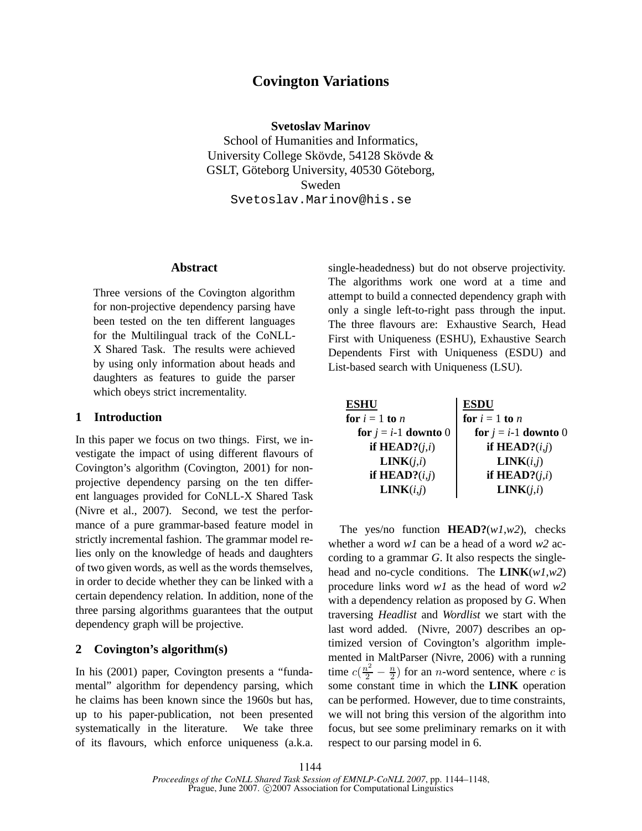# **Covington Variations**

**Svetoslav Marinov**

School of Humanities and Informatics, University College Skövde, 54128 Skövde & GSLT, Göteborg University, 40530 Göteborg, Sweden Svetoslav.Marinov@his.se

### **Abstract**

Three versions of the Covington algorithm for non-projective dependency parsing have been tested on the ten different languages for the Multilingual track of the CoNLL-X Shared Task. The results were achieved by using only information about heads and daughters as features to guide the parser which obeys strict incrementality.

### **1 Introduction**

In this paper we focus on two things. First, we investigate the impact of using different flavours of Covington's algorithm (Covington, 2001) for nonprojective dependency parsing on the ten different languages provided for CoNLL-X Shared Task (Nivre et al., 2007). Second, we test the performance of a pure grammar-based feature model in strictly incremental fashion. The grammar model relies only on the knowledge of heads and daughters of two given words, as well as the words themselves, in order to decide whether they can be linked with a certain dependency relation. In addition, none of the three parsing algorithms guarantees that the output dependency graph will be projective.

### **2 Covington's algorithm(s)**

In his (2001) paper, Covington presents a "fundamental" algorithm for dependency parsing, which he claims has been known since the 1960s but has, up to his paper-publication, not been presented systematically in the literature. We take three of its flavours, which enforce uniqueness (a.k.a. single-headedness) but do not observe projectivity. The algorithms work one word at a time and attempt to build a connected dependency graph with only a single left-to-right pass through the input. The three flavours are: Exhaustive Search, Head First with Uniqueness (ESHU), Exhaustive Search Dependents First with Uniqueness (ESDU) and List-based search with Uniqueness (LSU).

| <b>ESDU</b>            |
|------------------------|
| for $i = 1$ to n       |
| for $j = i-1$ downto 0 |
| if HEAD? $(i,j)$       |
| LINK(i,j)              |
| if $HEAD?(j,i)$        |
| LINK(j,i)              |
|                        |

The yes/no function **HEAD?**(*w1*,*w2*), checks whether a word *w1* can be a head of a word *w2* according to a grammar *G*. It also respects the singlehead and no-cycle conditions. The **LINK**(*w1*,*w2*) procedure links word *w1* as the head of word *w2* with a dependency relation as proposed by *G*. When traversing *Headlist* and *Wordlist* we start with the last word added. (Nivre, 2007) describes an optimized version of Covington's algorithm implemented in MaltParser (Nivre, 2006) with a running time  $c(\frac{n^2}{2} - \frac{n}{2})$  for an *n*-word sentence, where *c* is some constant time in which the **LINK** operation can be performed. However, due to time constraints, we will not bring this version of the algorithm into focus, but see some preliminary remarks on it with respect to our parsing model in 6.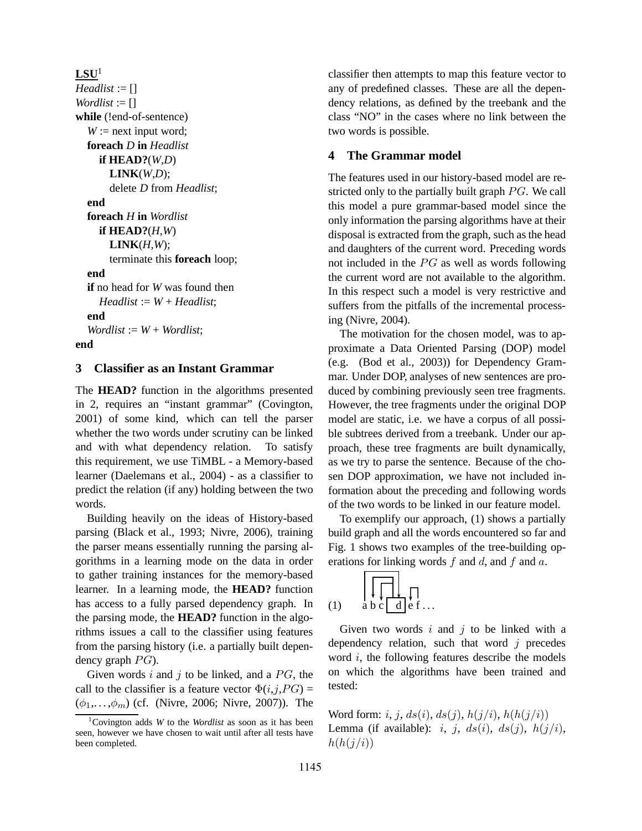```
LSU<sup>1</sup>Headlist := []
Wordlist := []
while (!end-of-sentence)
  W := next input word;
  foreach D in Headlist
     if HEAD?(W,D)
       LINK(W,D);
       delete D from Headlist;
  end
  foreach H in Wordlist
     if HEAD?(H,W)
       LINK(H,W);
       terminate this foreach loop;
  end
  if no head for W was found then
     Headlist := W + Headlist;
  end
  Worldist := W + Wordlist;end
```
#### **3 Classifier as an Instant Grammar**

The **HEAD?** function in the algorithms presented in 2, requires an "instant grammar" (Covington, 2001) of some kind, which can tell the parser whether the two words under scrutiny can be linked and with what dependency relation. To satisfy this requirement, we use TiMBL - a Memory-based learner (Daelemans et al., 2004) - as a classifier to predict the relation (if any) holding between the two words.

Building heavily on the ideas of History-based parsing (Black et al., 1993; Nivre, 2006), training the parser means essentially running the parsing algorithms in a learning mode on the data in order to gather training instances for the memory-based learner. In a learning mode, the **HEAD?** function has access to a fully parsed dependency graph. In the parsing mode, the **HEAD?** function in the algorithms issues a call to the classifier using features from the parsing history (i.e. a partially built dependency graph  $PG$ ).

Given words  $i$  and  $j$  to be linked, and a  $PG$ , the call to the classifier is a feature vector  $\Phi(i,j,PG)$  =  $(\phi_1,..., \phi_m)$  (cf. (Nivre, 2006; Nivre, 2007)). The classifier then attempts to map this feature vector to any of predefined classes. These are all the dependency relations, as defined by the treebank and the class "NO" in the cases where no link between the two words is possible.

#### **4 The Grammar model**

The features used in our history-based model are restricted only to the partially built graph  $PG$ . We call this model a pure grammar-based model since the only information the parsing algorithms have at their disposal is extracted from the graph, such as the head and daughters of the current word. Preceding words not included in the  $PG$  as well as words following the current word are not available to the algorithm. In this respect such a model is very restrictive and suffers from the pitfalls of the incremental processing (Nivre, 2004).

The motivation for the chosen model, was to approximate a Data Oriented Parsing (DOP) model (e.g. (Bod et al., 2003)) for Dependency Grammar. Under DOP, analyses of new sentences are produced by combining previously seen tree fragments. However, the tree fragments under the original DOP model are static, i.e. we have a corpus of all possible subtrees derived from a treebank. Under our approach, these tree fragments are built dynamically, as we try to parse the sentence. Because of the chosen DOP approximation, we have not included information about the preceding and following words of the two words to be linked in our feature model.

To exemplify our approach, (1) shows a partially build graph and all the words encountered so far and Fig. 1 shows two examples of the tree-building operations for linking words  $f$  and  $d$ , and  $f$  and  $a$ .

$$
(1) \quad a b c d e f...
$$

 $\Gamma$ 

Given two words  $i$  and  $j$  to be linked with a dependency relation, such that word  $j$  precedes word  $i$ , the following features describe the models on which the algorithms have been trained and tested:

Word form: i, j,  $ds(i)$ ,  $ds(j)$ ,  $h(j/i)$ ,  $h(h(j/i))$ Lemma (if available): i, j,  $ds(i)$ ,  $ds(j)$ ,  $h(j/i)$ ,  $h(h(j/i))$ 

<sup>1</sup>Covington adds *W* to the *Wordlist* as soon as it has been seen, however we have chosen to wait until after all tests have been completed.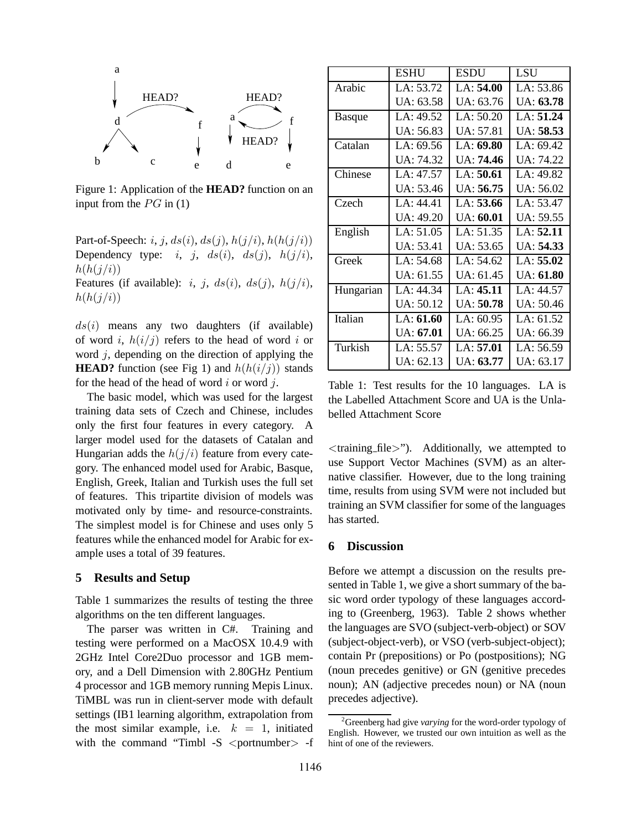

Figure 1: Application of the **HEAD?** function on an input from the  $PG$  in (1)

Part-of-Speech: i, j,  $ds(i)$ ,  $ds(j)$ ,  $h(j/i)$ ,  $h(h(j/i))$ Dependency type: *i*, *j*,  $ds(i)$ ,  $ds(j)$ ,  $h(j/i)$ ,  $h(h(j/i))$ Features (if available): i, j,  $ds(i)$ ,  $ds(j)$ ,  $h(j/i)$ ,  $h(h(j/i))$ 

 $ds(i)$  means any two daughters (if available) of word i,  $h(i/j)$  refers to the head of word i or word  $i$ , depending on the direction of applying the **HEAD?** function (see Fig 1) and  $h(h(i/j))$  stands for the head of the head of word  $i$  or word  $j$ .

The basic model, which was used for the largest training data sets of Czech and Chinese, includes only the first four features in every category. A larger model used for the datasets of Catalan and Hungarian adds the  $h(j/i)$  feature from every category. The enhanced model used for Arabic, Basque, English, Greek, Italian and Turkish uses the full set of features. This tripartite division of models was motivated only by time- and resource-constraints. The simplest model is for Chinese and uses only 5 features while the enhanced model for Arabic for example uses a total of 39 features.

#### **5 Results and Setup**

Table 1 summarizes the results of testing the three algorithms on the ten different languages.

The parser was written in C#. Training and testing were performed on a MacOSX 10.4.9 with 2GHz Intel Core2Duo processor and 1GB memory, and a Dell Dimension with 2.80GHz Pentium 4 processor and 1GB memory running Mepis Linux. TiMBL was run in client-server mode with default settings (IB1 learning algorithm, extrapolation from the most similar example, i.e.  $k = 1$ , initiated with the command "Timbl  $-S$  <portnumber > -f

|               | <b>ESHU</b>      | <b>ESDU</b>       | <b>LSU</b>        |
|---------------|------------------|-------------------|-------------------|
| Arabic        | LA: 53.72        | LA: 54.00         | LA: 53.86         |
|               | UA: 63.58        | UA: 63.76         | UA: <b>63.78</b>  |
| <b>Basque</b> | LA: 49.52        | LA: 50.20         | LA: 51.24         |
|               | UA: 56.83        | UA: 57.81         | UA: <b>58.53</b>  |
| Catalan       | LA: 69.56        | LA: 69.80         | LA: 69.42         |
|               | UA: 74.32        | UA: <b>74.46</b>  | UA: 74.22         |
| Chinese       | LA: 47.57        | LA: 50.61         | LA: 49.82         |
|               | UA: 53.46        | UA: 56.75         | UA: 56.02         |
| Czech         | LA: 44.41        | LA: 53.66         | LA: 53.47         |
|               | UA: 49.20        | <b>UA</b> : 60.01 | UA: 59.55         |
| English       | LA: 51.05        | LA: 51.35         | LA: <b>52.11</b>  |
|               | UA: 53.41        | UA: 53.65         | UA: 54.33         |
| Greek         | LA: 54.68        | LA: 54.62         | LA: 55.02         |
|               | UA: 61.55        | UA: 61.45         | <b>UA</b> : 61.80 |
| Hungarian     | LA: 44.34        | LA: 45.11         | LA: 44.57         |
|               | UA: 50.12        | UA: 50.78         | UA: 50.46         |
| Italian       | LA: 61.60        | LA: 60.95         | LA: 61.52         |
|               | UA: <b>67.01</b> | UA: 66.25         | UA: 66.39         |
| Turkish       | LA: $55.57$      | LA: 57.01         | LA: 56.59         |
|               | UA: 62.13        | UA: 63.77         | UA: 63.17         |

Table 1: Test results for the 10 languages. LA is the Labelled Attachment Score and UA is the Unlabelled Attachment Score

<training file>"). Additionally, we attempted to use Support Vector Machines (SVM) as an alternative classifier. However, due to the long training time, results from using SVM were not included but training an SVM classifier for some of the languages has started.

#### **6 Discussion**

Before we attempt a discussion on the results presented in Table 1, we give a short summary of the basic word order typology of these languages according to (Greenberg, 1963). Table 2 shows whether the languages are SVO (subject-verb-object) or SOV (subject-object-verb), or VSO (verb-subject-object); contain Pr (prepositions) or Po (postpositions); NG (noun precedes genitive) or GN (genitive precedes noun); AN (adjective precedes noun) or NA (noun precedes adjective).

<sup>2</sup>Greenberg had give *varying* for the word-order typology of English. However, we trusted our own intuition as well as the hint of one of the reviewers.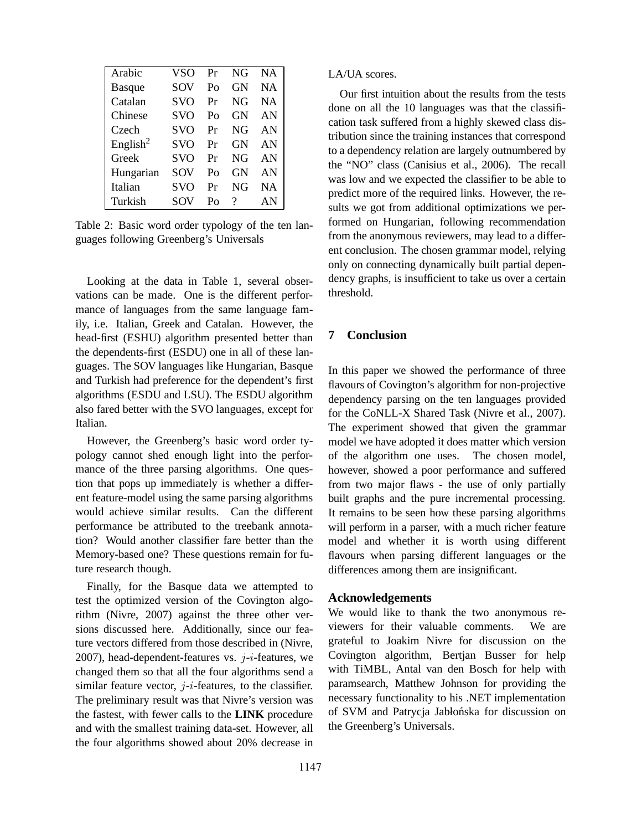| Arabic               | VSO        | Pr           | NG | NA.       |
|----------------------|------------|--------------|----|-----------|
| <b>Basque</b>        | SOV        | $P_{\Omega}$ | GN | <b>NA</b> |
| Catalan              | <b>SVO</b> | Pr           | NG | <b>NA</b> |
| Chinese              | <b>SVO</b> | $P_{\Omega}$ | GN | AN        |
| Czech                | <b>SVO</b> | Pr           | NG | AN        |
| English <sup>2</sup> | <b>SVO</b> | Pr           | GN | AN        |
| Greek                | <b>SVO</b> | Pr           | NG | AN        |
| Hungarian            | SOV        | $P_{\Omega}$ | GN | AN        |
| Italian              | <b>SVO</b> | Pr           | NG | <b>NA</b> |
| Turkish              | SOV        | $P_{\Omega}$ | ?  | AN        |

Table 2: Basic word order typology of the ten languages following Greenberg's Universals

Looking at the data in Table 1, several observations can be made. One is the different performance of languages from the same language family, i.e. Italian, Greek and Catalan. However, the head-first (ESHU) algorithm presented better than the dependents-first (ESDU) one in all of these languages. The SOV languages like Hungarian, Basque and Turkish had preference for the dependent's first algorithms (ESDU and LSU). The ESDU algorithm also fared better with the SVO languages, except for Italian.

However, the Greenberg's basic word order typology cannot shed enough light into the performance of the three parsing algorithms. One question that pops up immediately is whether a different feature-model using the same parsing algorithms would achieve similar results. Can the different performance be attributed to the treebank annotation? Would another classifier fare better than the Memory-based one? These questions remain for future research though.

Finally, for the Basque data we attempted to test the optimized version of the Covington algorithm (Nivre, 2007) against the three other versions discussed here. Additionally, since our feature vectors differed from those described in (Nivre, 2007), head-dependent-features vs.  $j-i$ -features, we changed them so that all the four algorithms send a similar feature vector,  $j-i$ -features, to the classifier. The preliminary result was that Nivre's version was the fastest, with fewer calls to the **LINK** procedure and with the smallest training data-set. However, all the four algorithms showed about 20% decrease in

LA/UA scores.

Our first intuition about the results from the tests done on all the 10 languages was that the classification task suffered from a highly skewed class distribution since the training instances that correspond to a dependency relation are largely outnumbered by the "NO" class (Canisius et al., 2006). The recall was low and we expected the classifier to be able to predict more of the required links. However, the results we got from additional optimizations we performed on Hungarian, following recommendation from the anonymous reviewers, may lead to a different conclusion. The chosen grammar model, relying only on connecting dynamically built partial dependency graphs, is insufficient to take us over a certain threshold.

## **7 Conclusion**

In this paper we showed the performance of three flavours of Covington's algorithm for non-projective dependency parsing on the ten languages provided for the CoNLL-X Shared Task (Nivre et al., 2007). The experiment showed that given the grammar model we have adopted it does matter which version of the algorithm one uses. The chosen model, however, showed a poor performance and suffered from two major flaws - the use of only partially built graphs and the pure incremental processing. It remains to be seen how these parsing algorithms will perform in a parser, with a much richer feature model and whether it is worth using different flavours when parsing different languages or the differences among them are insignificant.

#### **Acknowledgements**

We would like to thank the two anonymous reviewers for their valuable comments. We are grateful to Joakim Nivre for discussion on the Covington algorithm, Bertjan Busser for help with TiMBL, Antal van den Bosch for help with paramsearch, Matthew Johnson for providing the necessary functionality to his .NET implementation of SVM and Patrycja Jabłońska for discussion on the Greenberg's Universals.